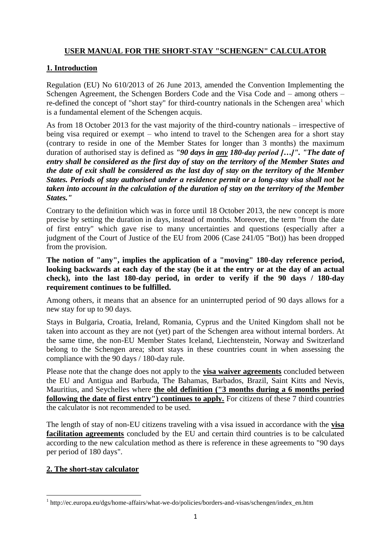# **USER MANUAL FOR THE SHORT-STAY "SCHENGEN" CALCULATOR**

# **1. Introduction**

Regulation (EU) No 610/2013 of 26 June 2013, amended the Convention Implementing the Schengen Agreement, the Schengen Borders Code and the Visa Code and – among others – re-defined the concept of "short stay" for third-country nationals in the Schengen area<sup>1</sup> which is a fundamental element of the Schengen acquis.

As from 18 October 2013 for the vast majority of the third-country nationals – irrespective of being visa required or exempt – who intend to travel to the Schengen area for a short stay (contrary to reside in one of the Member States for longer than 3 months) the maximum duration of authorised stay is defined as *"90 days in any 180-day period […]". "The date of entry shall be considered as the first day of stay on the territory of the Member States and the date of exit shall be considered as the last day of stay on the territory of the Member States. Periods of stay authorised under a residence permit or a long-stay visa shall not be taken into account in the calculation of the duration of stay on the territory of the Member States."*

Contrary to the definition which was in force until 18 October 2013, the new concept is more precise by setting the duration in days, instead of months. Moreover, the term "from the date of first entry" which gave rise to many uncertainties and questions (especially after a judgment of the Court of Justice of the EU from 2006 (Case 241/05 "Bot)) has been dropped from the provision.

**The notion of "any", implies the application of a "moving" 180-day reference period, looking backwards at each day of the stay (be it at the entry or at the day of an actual check), into the last 180-day period, in order to verify if the 90 days / 180-day requirement continues to be fulfilled.** 

Among others, it means that an absence for an uninterrupted period of 90 days allows for a new stay for up to 90 days.

Stays in Bulgaria, Croatia, Ireland, Romania, Cyprus and the United Kingdom shall not be taken into account as they are not (yet) part of the Schengen area without internal borders. At the same time, the non-EU Member States Iceland, Liechtenstein, Norway and Switzerland belong to the Schengen area; short stays in these countries count in when assessing the compliance with the 90 days / 180-day rule.

Please note that the change does not apply to the **visa waiver agreements** concluded between the EU and Antigua and Barbuda, The Bahamas, Barbados, Brazil, Saint Kitts and Nevis, Mauritius, and Seychelles where **the old definition ("3 months during a 6 months period following the date of first entry") continues to apply.** For citizens of these 7 third countries the calculator is not recommended to be used.

The length of stay of non-EU citizens traveling with a visa issued in accordance with the **visa facilitation agreements** concluded by the EU and certain third countries is to be calculated according to the new calculation method as there is reference in these agreements to "90 days" per period of 180 days".

### **2. The short-stay calculator**

**<sup>.</sup>** <sup>1</sup> http://ec.europa.eu/dgs/home-affairs/what-we-do/policies/borders-and-visas/schengen/index\_en.htm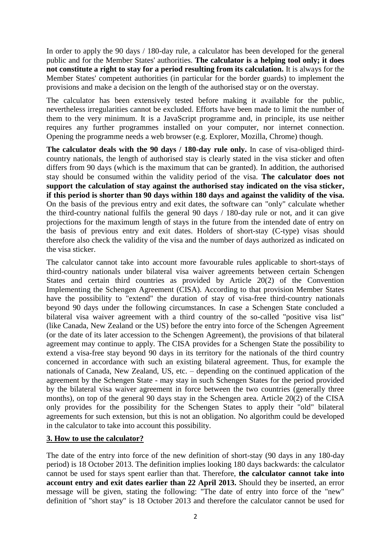In order to apply the 90 days / 180-day rule, a calculator has been developed for the general public and for the Member States' authorities. **The calculator is a helping tool only; it does not constitute a right to stay for a period resulting from its calculation.** It is always for the Member States' competent authorities (in particular for the border guards) to implement the provisions and make a decision on the length of the authorised stay or on the overstay.

The calculator has been extensively tested before making it available for the public, nevertheless irregularities cannot be excluded. Efforts have been made to limit the number of them to the very minimum. It is a JavaScript programme and, in principle, its use neither requires any further programmes installed on your computer, nor internet connection. Opening the programme needs a web browser (e.g. Explorer, Mozilla, Chrome) though.

**The calculator deals with the 90 days / 180-day rule only.** In case of visa-obliged thirdcountry nationals, the length of authorised stay is clearly stated in the visa sticker and often differs from 90 days (which is the maximum that can be granted). In addition, the authorised stay should be consumed within the validity period of the visa. **The calculator does not support the calculation of stay against the authorised stay indicated on the visa sticker, if this period is shorter than 90 days within 180 days and against the validity of the visa.** On the basis of the previous entry and exit dates, the software can "only" calculate whether the third-country national fulfils the general 90 days / 180-day rule or not, and it can give projections for the maximum length of stays in the future from the intended date of entry on the basis of previous entry and exit dates. Holders of short-stay (C-type) visas should therefore also check the validity of the visa and the number of days authorized as indicated on the visa sticker.

The calculator cannot take into account more favourable rules applicable to short-stays of third-country nationals under bilateral visa waiver agreements between certain Schengen States and certain third countries as provided by Article 20(2) of the Convention Implementing the Schengen Agreement (CISA). According to that provision Member States have the possibility to "extend" the duration of stay of visa-free third-country nationals beyond 90 days under the following circumstances. In case a Schengen State concluded a bilateral visa waiver agreement with a third country of the so-called "positive visa list" (like Canada, New Zealand or the US) before the entry into force of the Schengen Agreement (or the date of its later accession to the Schengen Agreement), the provisions of that bilateral agreement may continue to apply. The CISA provides for a Schengen State the possibility to extend a visa-free stay beyond 90 days in its territory for the nationals of the third country concerned in accordance with such an existing bilateral agreement. Thus, for example the nationals of Canada, New Zealand, US, etc. – depending on the continued application of the agreement by the Schengen State - may stay in such Schengen States for the period provided by the bilateral visa waiver agreement in force between the two countries (generally three months), on top of the general 90 days stay in the Schengen area. Article 20(2) of the CISA only provides for the possibility for the Schengen States to apply their "old" bilateral agreements for such extension, but this is not an obligation. No algorithm could be developed in the calculator to take into account this possibility.

#### **3. How to use the calculator?**

The date of the entry into force of the new definition of short-stay (90 days in any 180-day period) is 18 October 2013. The definition implies looking 180 days backwards: the calculator cannot be used for stays spent earlier than that. Therefore, **the calculator cannot take into account entry and exit dates earlier than 22 April 2013.** Should they be inserted, an error message will be given, stating the following: "The date of entry into force of the "new" definition of "short stay" is 18 October 2013 and therefore the calculator cannot be used for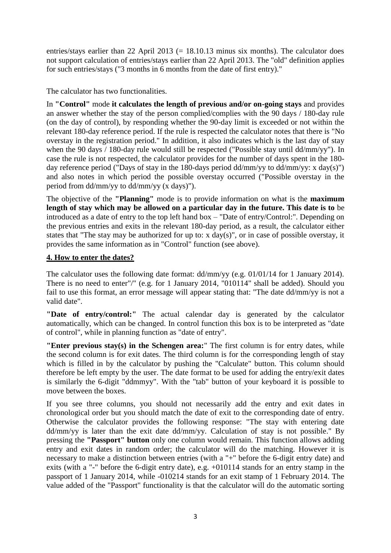entries/stays earlier than 22 April 2013  $(= 18.10.13 \text{ minus six months})$ . The calculator does not support calculation of entries/stays earlier than 22 April 2013. The "old" definition applies for such entries/stays ("3 months in 6 months from the date of first entry)."

The calculator has two functionalities.

In **"Control"** mode **it calculates the length of previous and/or on-going stays** and provides an answer whether the stay of the person complied/complies with the 90 days / 180-day rule (on the day of control), by responding whether the 90-day limit is exceeded or not within the relevant 180-day reference period. If the rule is respected the calculator notes that there is "No overstay in the registration period." In addition, it also indicates which is the last day of stay when the 90 days / 180-day rule would still be respected ("Possible stay until dd/mm/yy"). In case the rule is not respected, the calculator provides for the number of days spent in the 180 day reference period ("Days of stay in the 180-days period  $\frac{d}{m}$ yy to  $\frac{d}{m}$ yy: x  $\frac{day(s)}{s}$ ") and also notes in which period the possible overstay occurred ("Possible overstay in the period from dd/mm/yy to dd/mm/yy (x days)").

The objective of the **"Planning"** mode is to provide information on what is the **maximum length of stay which may be allowed on a particular day in the future. This date is to** be introduced as a date of entry to the top left hand box – "Date of entry/Control:". Depending on the previous entries and exits in the relevant 180-day period, as a result, the calculator either states that "The stay may be authorized for up to: x day(s)", or in case of possible overstay, it provides the same information as in "Control" function (see above).

## **4. How to enter the dates?**

The calculator uses the following date format: dd/mm/yy (e.g. 01/01/14 for 1 January 2014). There is no need to enter"/" (e.g. for 1 January 2014, "010114" shall be added). Should you fail to use this format, an error message will appear stating that: "The date dd/mm/yy is not a valid date".

**"Date of entry/control:"** The actual calendar day is generated by the calculator automatically, which can be changed. In control function this box is to be interpreted as "date of control", while in planning function as "date of entry".

**"Enter previous stay(s) in the Schengen area:**" The first column is for entry dates, while the second column is for exit dates. The third column is for the corresponding length of stay which is filled in by the calculator by pushing the "Calculate" button. This column should therefore be left empty by the user. The date format to be used for adding the entry/exit dates is similarly the 6-digit "ddmmyy". With the "tab" button of your keyboard it is possible to move between the boxes.

If you see three columns, you should not necessarily add the entry and exit dates in chronological order but you should match the date of exit to the corresponding date of entry. Otherwise the calculator provides the following response: "The stay with entering date dd/mm/yy is later than the exit date dd/mm/yy. Calculation of stay is not possible." By pressing the **"Passport" button** only one column would remain. This function allows adding entry and exit dates in random order; the calculator will do the matching. However it is necessary to make a distinction between entries (with a "+" before the 6-digit entry date) and exits (with a "-" before the 6-digit entry date), e.g. +010114 stands for an entry stamp in the passport of 1 January 2014, while -010214 stands for an exit stamp of 1 February 2014. The value added of the "Passport" functionality is that the calculator will do the automatic sorting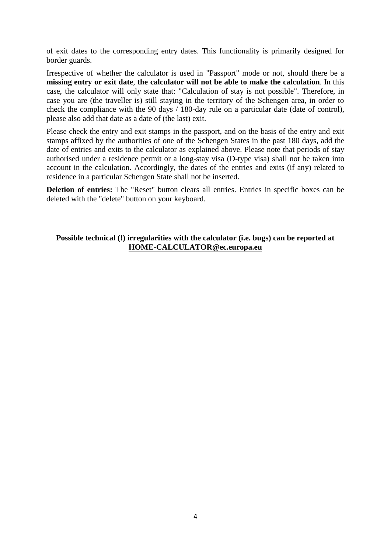of exit dates to the corresponding entry dates. This functionality is primarily designed for border guards.

Irrespective of whether the calculator is used in "Passport" mode or not, should there be a **missing entry or exit date**, **the calculator will not be able to make the calculation**. In this case, the calculator will only state that: "Calculation of stay is not possible". Therefore, in case you are (the traveller is) still staying in the territory of the Schengen area, in order to check the compliance with the 90 days / 180-day rule on a particular date (date of control), please also add that date as a date of (the last) exit.

Please check the entry and exit stamps in the passport, and on the basis of the entry and exit stamps affixed by the authorities of one of the Schengen States in the past 180 days, add the date of entries and exits to the calculator as explained above. Please note that periods of stay authorised under a residence permit or a long-stay visa (D-type visa) shall not be taken into account in the calculation. Accordingly, the dates of the entries and exits (if any) related to residence in a particular Schengen State shall not be inserted.

**Deletion of entries:** The "Reset" button clears all entries. Entries in specific boxes can be deleted with the "delete" button on your keyboard.

#### **Possible technical (!) irregularities with the calculator (i.e. bugs) can be reported at [HOME-CALCULATOR@ec.europa.eu](mailto:HOME-CALCULATOR@ec.europa.eu)**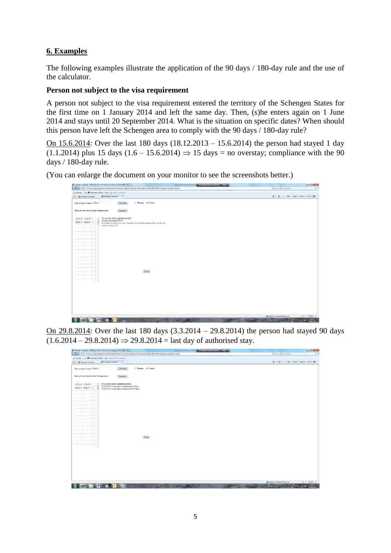# **6. Examples**

The following examples illustrate the application of the 90 days / 180-day rule and the use of the calculator.

#### **Person not subject to the visa requirement**

A person not subject to the visa requirement entered the territory of the Schengen States for the first time on 1 January 2014 and left the same day. Then, (s)he enters again on 1 June 2014 and stays until 20 September 2014. What is the situation on specific dates? When should this person have left the Schengen area to comply with the 90 days / 180-day rule?

On 15.6.2014: Over the last 180 days (18.12.2013 – 15.6.2014) the person had stayed 1 day  $(1.1.2014)$  plus 15 days  $(1.6 - 15.6.2014) \Rightarrow 15$  days = no overstay; compliance with the 90 days / 180-day rule.

(You can enlarge the document on your monitor to see the screenshots better.)

| (6) Schengen-calculator - Windows Internet Explorer provided by Home Affairs DG<br><b>Constitution of the constitution of Constitution</b><br><b>STATISTICS</b> | $\Box$ $\Box$                                         |
|-----------------------------------------------------------------------------------------------------------------------------------------------------------------|-------------------------------------------------------|
| (C) C:Wsers\csorgda\AppData\Local\Microsoft\Windows\Temporary Internet Files\Content,Outlook\B0775PUR\Schengen-calculator (4).html                              | $\bullet$ $\bullet$ $\times$ $P$ immediat<br>$\rho$ + |
| Favorites via Publications Office -- Inte., (a) Web Size Gallery -<br>E . B Schengen-calculator<br>Schengen-calculator                                          | Q - 回 - □ 曲 - Page - Safety - Tools - Q -             |
| <sup>©</sup> Planning @ Control<br>Calculate<br>Date of entry/Control: 15/06/14<br>Enter previous stay(s) in the Schengen area:<br>Passport                     |                                                       |
| No overstay in the registration period.<br>01/01/14 01/01/14                                                                                                    |                                                       |
| Possible stay until 29/08/14<br>01/06/14 15/06/14<br>For holder of a short stay visa, remember to check the number of days on the visa                          |                                                       |
| sticker or in the VIS                                                                                                                                           |                                                       |
|                                                                                                                                                                 |                                                       |
|                                                                                                                                                                 |                                                       |
|                                                                                                                                                                 |                                                       |
|                                                                                                                                                                 |                                                       |
|                                                                                                                                                                 |                                                       |
|                                                                                                                                                                 |                                                       |
|                                                                                                                                                                 |                                                       |
|                                                                                                                                                                 |                                                       |
|                                                                                                                                                                 |                                                       |
| Reset                                                                                                                                                           |                                                       |
|                                                                                                                                                                 |                                                       |
|                                                                                                                                                                 |                                                       |
|                                                                                                                                                                 |                                                       |
|                                                                                                                                                                 |                                                       |
|                                                                                                                                                                 |                                                       |
|                                                                                                                                                                 |                                                       |
|                                                                                                                                                                 |                                                       |
|                                                                                                                                                                 |                                                       |
|                                                                                                                                                                 |                                                       |
|                                                                                                                                                                 | Externet   Protected Mode: On<br>$v_0 = -8100\%$ +    |
| ▥                                                                                                                                                               | $-77.41$ $12.14$                                      |

On 29.8.2014: Over the last 180 days (3.3.2014 – 29.8.2014) the person had stayed 90 days  $(1.6.2014 - 29.8.2014) \Rightarrow 29.8.2014 =$ last day of authorised stay.

| <b>Corpor</b>                                | [2] Childershcsongda\AppData\Locall\Microsoft\Windows\Temporary Internet Files\Content.Outlook\80775PUR\Schengen-calculator (4).html | $\rightarrow$ $\leftrightarrow$ $\times$ $\rho$ invarced<br>$p +$ |
|----------------------------------------------|--------------------------------------------------------------------------------------------------------------------------------------|-------------------------------------------------------------------|
|                                              | The Favorites of Publications Office -- Inte (a) Web Slice Gallery -                                                                 |                                                                   |
| <b>BB + @ Schengen-calculator</b>            | Schengen-calculator<br>$\mathbf{x}$                                                                                                  | 4 · 图 · □ ※ · Page · Safety · Took · @ ·                          |
|                                              |                                                                                                                                      |                                                                   |
| Date of entry Control: 29/08/14              | @ Planning @ Control<br>Calculate                                                                                                    |                                                                   |
|                                              |                                                                                                                                      |                                                                   |
| Enter previous stay(s) in the Schengen area: | Passport                                                                                                                             |                                                                   |
|                                              |                                                                                                                                      |                                                                   |
| 01/01/14 01/01/14                            | No overstay in the registration period.<br>At 29/08/14 a stay may be autorized for 0 days                                            |                                                                   |
| 01/06/14 29/08/14                            | At 28/11/14 a stay may be autorized for 90 days                                                                                      |                                                                   |
|                                              |                                                                                                                                      |                                                                   |
|                                              |                                                                                                                                      |                                                                   |
|                                              |                                                                                                                                      |                                                                   |
|                                              |                                                                                                                                      |                                                                   |
|                                              |                                                                                                                                      |                                                                   |
|                                              |                                                                                                                                      |                                                                   |
|                                              |                                                                                                                                      |                                                                   |
|                                              |                                                                                                                                      |                                                                   |
|                                              |                                                                                                                                      |                                                                   |
|                                              |                                                                                                                                      |                                                                   |
|                                              |                                                                                                                                      |                                                                   |
|                                              |                                                                                                                                      |                                                                   |
|                                              | Reset                                                                                                                                |                                                                   |
|                                              |                                                                                                                                      |                                                                   |
|                                              |                                                                                                                                      |                                                                   |
|                                              |                                                                                                                                      |                                                                   |
|                                              |                                                                                                                                      |                                                                   |
|                                              |                                                                                                                                      |                                                                   |
|                                              |                                                                                                                                      |                                                                   |
|                                              |                                                                                                                                      |                                                                   |
|                                              |                                                                                                                                      |                                                                   |
|                                              |                                                                                                                                      |                                                                   |
|                                              |                                                                                                                                      |                                                                   |
|                                              |                                                                                                                                      | C Internet   Protected Mode: On<br>○ 大100%→                       |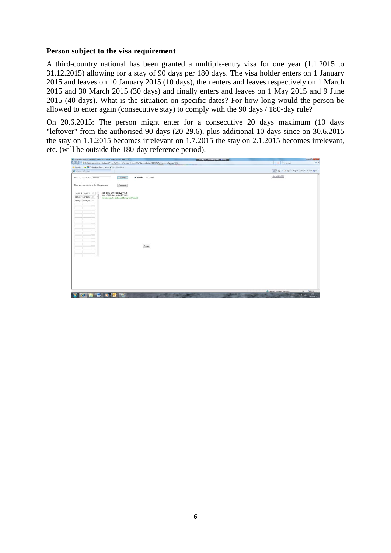#### **Person subject to the visa requirement**

A third-country national has been granted a multiple-entry visa for one year (1.1.2015 to 31.12.2015) allowing for a stay of 90 days per 180 days. The visa holder enters on 1 January 2015 and leaves on 10 January 2015 (10 days), then enters and leaves respectively on 1 March 2015 and 30 March 2015 (30 days) and finally enters and leaves on 1 May 2015 and 9 June 2015 (40 days). What is the situation on specific dates? For how long would the person be allowed to enter again (consecutive stay) to comply with the 90 days / 180-day rule?

On 20.6.2015: The person might enter for a consecutive 20 days maximum (10 days "leftover" from the authorised 90 days (20-29.6), plus additional 10 days since on 30.6.2015 the stay on 1.1.2015 becomes irrelevant on 1.7.2015 the stay on 2.1.2015 becomes irrelevant, etc. (will be outside the 180-day reference period).

| Schengen-calculator - Windows Internet Explorer provided by Home Affairs DG<br>EN English (United Kingdom) 2 Help 2                                   | <b>ICHO MODE</b>                          |
|-------------------------------------------------------------------------------------------------------------------------------------------------------|-------------------------------------------|
| (2) C:\Users\csorgda\AppData\Local\Microsoft\Windows\Temporary Internet Files\Content.Outlook\B0775PUR\Schengen-calculator (4).html<br><b>Roofers</b> | + + x P javacript                         |
| Pavorites via C Publications Office -- Inte (a) Web Sice Gallery -                                                                                    |                                           |
| Schengen-calculator                                                                                                                                   | ☆ ■ 图 - □ 嘛 - Page - Safety - Tools - @ - |
| @ Planning @ Control<br>Calculate<br>Date of entry Control: 20/06/15                                                                                  | Home (Alt+M)                              |
| Enter previous stay(s) in the Schengen area:<br>Passport                                                                                              |                                           |
| Start of 90 days period:23/03/15<br>01/01/15 10/01/15<br>Start of 180 days period:23/12/14                                                            |                                           |
| 01/03/15 30/03/15<br>The stay may be authorized for up to 20 day(s)<br>01/05/15 09/06/15                                                              |                                           |
|                                                                                                                                                       |                                           |
|                                                                                                                                                       |                                           |
|                                                                                                                                                       |                                           |
|                                                                                                                                                       |                                           |
|                                                                                                                                                       |                                           |
|                                                                                                                                                       |                                           |
|                                                                                                                                                       |                                           |
|                                                                                                                                                       |                                           |
|                                                                                                                                                       |                                           |
|                                                                                                                                                       |                                           |
| Reset                                                                                                                                                 |                                           |
|                                                                                                                                                       |                                           |
| ×                                                                                                                                                     |                                           |
|                                                                                                                                                       |                                           |
|                                                                                                                                                       |                                           |
|                                                                                                                                                       |                                           |
|                                                                                                                                                       |                                           |
|                                                                                                                                                       |                                           |
|                                                                                                                                                       |                                           |
|                                                                                                                                                       |                                           |
|                                                                                                                                                       | 后 · 当100% ·                               |
| W D O G                                                                                                                                               | C Internet   Protected Mode: On           |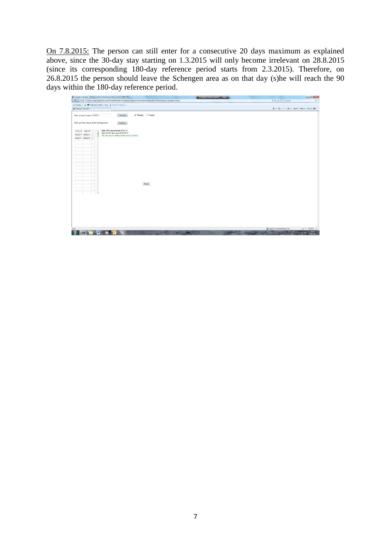On 7.8.2015: The person can still enter for a consecutive 20 days maximum as explained above, since the 30-day stay starting on 1.3.2015 will only become irrelevant on 28.8.2015 (since its corresponding 180-day reference period starts from 2.3.2015). Therefore, on 26.8.2015 the person should leave the Schengen area as on that day (s)he will reach the 90 days within the 180-day reference period.

| <sup>26</sup> Schengen-calculator - Windows Internet Explorer provided by Home Affairs DG                                                               | <b>CONSTRUCTION OF A REPORT OF A LINE WAY</b>                | <b>In G MON</b> |
|---------------------------------------------------------------------------------------------------------------------------------------------------------|--------------------------------------------------------------|-----------------|
| (2) Critisers/coorgols/AppData\Local/Microsoft\Windows\Temporary Internet Files\Content.Outlook\B0775PUR\Schengen-calculator (4).html<br><b>Looking</b> | $\bullet$ $\rightarrow$ $\times$ $\triangleright$ invarced   | $p +$           |
| pr Favorites pr Publications Office -- Inte (a) Web Sice Gallery .                                                                                      |                                                              |                 |
| Schengen-calculator                                                                                                                                     | <sup>5</sup> → 回 → □ ※ → Page > Safety > Took > <sup>●</sup> |                 |
| @ Planning @ Control<br>Calculate<br>Date of entry Control: 07/08/15                                                                                    |                                                              |                 |
| Enter previous stay(s) in the Schengen area:<br>Passport                                                                                                |                                                              |                 |
| Start of 90 days period 10/05/15<br>01/01/15 10/01/15<br>Start of 180 days period 09/02/15                                                              |                                                              |                 |
| 01/03/15 30/03/15<br>The stay may be authorized for up to 20 day(s)                                                                                     |                                                              |                 |
| 01/05/15 09/06/15                                                                                                                                       |                                                              |                 |
|                                                                                                                                                         |                                                              |                 |
|                                                                                                                                                         |                                                              |                 |
|                                                                                                                                                         |                                                              |                 |
|                                                                                                                                                         |                                                              |                 |
|                                                                                                                                                         |                                                              |                 |
|                                                                                                                                                         |                                                              |                 |
|                                                                                                                                                         |                                                              |                 |
|                                                                                                                                                         |                                                              |                 |
|                                                                                                                                                         |                                                              |                 |
| Reset                                                                                                                                                   |                                                              |                 |
|                                                                                                                                                         |                                                              |                 |
|                                                                                                                                                         |                                                              |                 |
|                                                                                                                                                         |                                                              |                 |
|                                                                                                                                                         |                                                              |                 |
|                                                                                                                                                         |                                                              |                 |
|                                                                                                                                                         |                                                              |                 |
|                                                                                                                                                         |                                                              |                 |
|                                                                                                                                                         |                                                              |                 |
|                                                                                                                                                         |                                                              |                 |
|                                                                                                                                                         |                                                              |                 |
| Done                                                                                                                                                    | C Internet   Protected Mode: On<br>看 - 6,100% +              |                 |
| W.<br>Ы<br><b>TOP III</b><br>$\omega$                                                                                                                   | $+57.40$ $12.29$                                             |                 |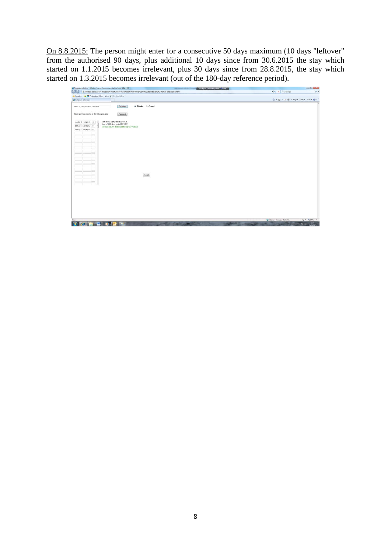On 8.8.2015: The person might enter for a consecutive 50 days maximum (10 days "leftover" from the authorised 90 days, plus additional 10 days since from 30.6.2015 the stay which started on 1.1.2015 becomes irrelevant, plus 30 days since from 28.8.2015, the stay which started on 1.3.2015 becomes irrelevant (out of the 180-day reference period).

| Schengen-calculator - Windows Internet Explorer provided by Home Affairs DG                                                                                       | <b>CONSTRUCTION (APROVATION CONSTRUCT)</b><br>$-$ |                                           | <b>COLORED BY</b> |
|-------------------------------------------------------------------------------------------------------------------------------------------------------------------|---------------------------------------------------|-------------------------------------------|-------------------|
| (2) Childers\csongda\AppData\Local\Microsoft\Windows\Temporary Internet Files\Content.Outlook\B0775PUR\Schengen-calculator (4).html<br><b>Corea</b>               |                                                   | $\bullet$ $\bullet$ $\times$ $P$ invarced | $p +$             |
| per Favorites per Publications Office -- Inte (a) Web Slice Gallery .                                                                                             |                                                   |                                           |                   |
| Schengen-calculator                                                                                                                                               |                                                   | Q → 図 → □ ※ → Page > Safety > Took > @ →  |                   |
| @ Planning @ Control<br>Calculate<br>Date of entry Control: 08/08/15                                                                                              |                                                   |                                           |                   |
| Enter previous stay(s) in the Schengen area:<br>Passpon                                                                                                           |                                                   |                                           |                   |
| Start of 90 days period 11/05/15<br>01/01/15 10/01/15<br>Start of 180 days period 10/02/15<br>01/03/15 30/03/15<br>The stay may be authorized for up to 50 day(s) |                                                   |                                           |                   |
| 01/05/15 09/06/15                                                                                                                                                 |                                                   |                                           |                   |
|                                                                                                                                                                   |                                                   |                                           |                   |
|                                                                                                                                                                   |                                                   |                                           |                   |
|                                                                                                                                                                   |                                                   |                                           |                   |
|                                                                                                                                                                   |                                                   |                                           |                   |
| Reset                                                                                                                                                             |                                                   |                                           |                   |
|                                                                                                                                                                   |                                                   |                                           |                   |
|                                                                                                                                                                   |                                                   |                                           |                   |
|                                                                                                                                                                   |                                                   |                                           |                   |
|                                                                                                                                                                   |                                                   |                                           |                   |
| Done                                                                                                                                                              |                                                   | C Internet   Protected Mode: On           | $44 - 41005 -$    |
| $\overline{P}$<br><b>UWW</b><br><b>I</b> IO <sub>I</sub>                                                                                                          | <b>Bally March 19</b>                             |                                           | 12:34<br>$-57.40$ |